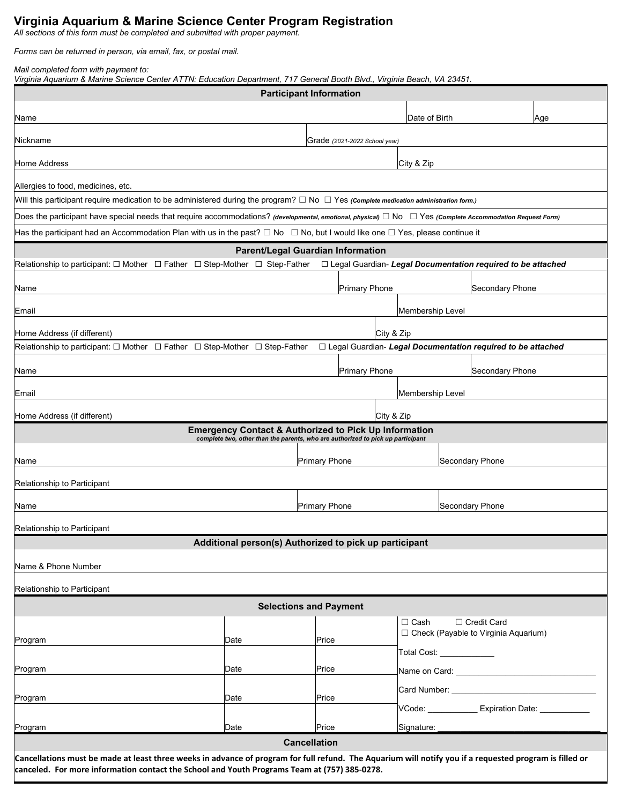## **Virginia Aquarium & Marine Science Center Program Registration**

*All sections of this form must be completed and submitted with proper payment.*

*Forms can be returned in person, via email, fax, or postal mail.* 

*Mail completed form with payment to:* 

*Virginia Aquarium & Marine Science Center ATTN: Education Department, 717 General Booth Blvd., Virginia Beach, VA 23451.*

| <b>Participant Information</b>                                                                                                                                                                                                                          |                  |                                                        |                 |                                        |                 |     |  |  |  |  |
|---------------------------------------------------------------------------------------------------------------------------------------------------------------------------------------------------------------------------------------------------------|------------------|--------------------------------------------------------|-----------------|----------------------------------------|-----------------|-----|--|--|--|--|
| Name                                                                                                                                                                                                                                                    |                  |                                                        |                 | Date of Birth                          |                 | Age |  |  |  |  |
| Nickname                                                                                                                                                                                                                                                |                  | Grade (2021-2022 School year)                          |                 |                                        |                 |     |  |  |  |  |
| Home Address                                                                                                                                                                                                                                            |                  | City & Zip                                             |                 |                                        |                 |     |  |  |  |  |
| Allergies to food, medicines, etc.                                                                                                                                                                                                                      |                  |                                                        |                 |                                        |                 |     |  |  |  |  |
| Will this participant require medication to be administered during the program? $\Box$ No $\Box$ Yes (Complete medication administration form.)                                                                                                         |                  |                                                        |                 |                                        |                 |     |  |  |  |  |
| Does the participant have special needs that require accommodations? (developmental, emotional, physical) $\Box$ No $\Box$ Yes (Complete Accommodation Request Form)                                                                                    |                  |                                                        |                 |                                        |                 |     |  |  |  |  |
| Has the participant had an Accommodation Plan with us in the past? $\Box$ No $\Box$ No, but I would like one $\Box$ Yes, please continue it                                                                                                             |                  |                                                        |                 |                                        |                 |     |  |  |  |  |
| <b>Parent/Legal Guardian Information</b>                                                                                                                                                                                                                |                  |                                                        |                 |                                        |                 |     |  |  |  |  |
| Relationship to participant: $\Box$ Mother $\Box$ Father $\Box$ Step-Mother $\Box$ Step-Father<br>□ Legal Guardian- Legal Documentation required to be attached                                                                                         |                  |                                                        |                 |                                        |                 |     |  |  |  |  |
| <b>Primary Phone</b><br>Secondary Phone<br>Name                                                                                                                                                                                                         |                  |                                                        |                 |                                        |                 |     |  |  |  |  |
| Email                                                                                                                                                                                                                                                   | Membership Level |                                                        |                 |                                        |                 |     |  |  |  |  |
| City & Zip<br>Home Address (if different)                                                                                                                                                                                                               |                  |                                                        |                 |                                        |                 |     |  |  |  |  |
| Relationship to participant: $\Box$ Mother $\Box$ Father $\Box$ Step-Mother $\Box$ Step-Father<br>□ Legal Guardian- Legal Documentation required to be attached                                                                                         |                  |                                                        |                 |                                        |                 |     |  |  |  |  |
| Name                                                                                                                                                                                                                                                    |                  | <b>Primary Phone</b>                                   |                 |                                        | Secondary Phone |     |  |  |  |  |
| Email                                                                                                                                                                                                                                                   | Membership Level |                                                        |                 |                                        |                 |     |  |  |  |  |
| Home Address (if different)<br>City & Zip                                                                                                                                                                                                               |                  |                                                        |                 |                                        |                 |     |  |  |  |  |
| <b>Emergency Contact &amp; Authorized to Pick Up Information</b><br>complete two, other than the parents, who are authorized to pick up participant                                                                                                     |                  |                                                        |                 |                                        |                 |     |  |  |  |  |
|                                                                                                                                                                                                                                                         |                  |                                                        |                 |                                        |                 |     |  |  |  |  |
| Name                                                                                                                                                                                                                                                    |                  | <b>Primary Phone</b>                                   |                 |                                        | Secondary Phone |     |  |  |  |  |
| Relationship to Participant                                                                                                                                                                                                                             |                  |                                                        |                 |                                        |                 |     |  |  |  |  |
| <b>Primary Phone</b><br>Name                                                                                                                                                                                                                            |                  |                                                        | Secondary Phone |                                        |                 |     |  |  |  |  |
| Relationship to Participant                                                                                                                                                                                                                             |                  |                                                        |                 |                                        |                 |     |  |  |  |  |
|                                                                                                                                                                                                                                                         |                  | Additional person(s) Authorized to pick up participant |                 |                                        |                 |     |  |  |  |  |
| Name & Phone Number                                                                                                                                                                                                                                     |                  |                                                        |                 |                                        |                 |     |  |  |  |  |
| Relationship to Participant                                                                                                                                                                                                                             |                  |                                                        |                 |                                        |                 |     |  |  |  |  |
| <b>Selections and Payment</b>                                                                                                                                                                                                                           |                  |                                                        |                 |                                        |                 |     |  |  |  |  |
|                                                                                                                                                                                                                                                         |                  |                                                        |                 | $\Box$ Cash                            | □ Credit Card   |     |  |  |  |  |
| Program                                                                                                                                                                                                                                                 | Date             | Price                                                  |                 | □ Check (Payable to Virginia Aquarium) |                 |     |  |  |  |  |
|                                                                                                                                                                                                                                                         |                  |                                                        |                 | Total Cost: <u>______________</u>      |                 |     |  |  |  |  |
| Program                                                                                                                                                                                                                                                 | Date             | Price                                                  |                 |                                        |                 |     |  |  |  |  |
| Program                                                                                                                                                                                                                                                 | Date             | Price                                                  |                 |                                        |                 |     |  |  |  |  |
|                                                                                                                                                                                                                                                         |                  |                                                        |                 | VCode: Expiration Date: VCode:         |                 |     |  |  |  |  |
| Program                                                                                                                                                                                                                                                 | Date             | Price                                                  |                 | Signature:                             |                 |     |  |  |  |  |
| <b>Cancellation</b>                                                                                                                                                                                                                                     |                  |                                                        |                 |                                        |                 |     |  |  |  |  |
| Cancellations must be made at least three weeks in advance of program for full refund. The Aquarium will notify you if a requested program is filled or<br>canceled. For more information contact the School and Youth Programs Team at (757) 385-0278. |                  |                                                        |                 |                                        |                 |     |  |  |  |  |